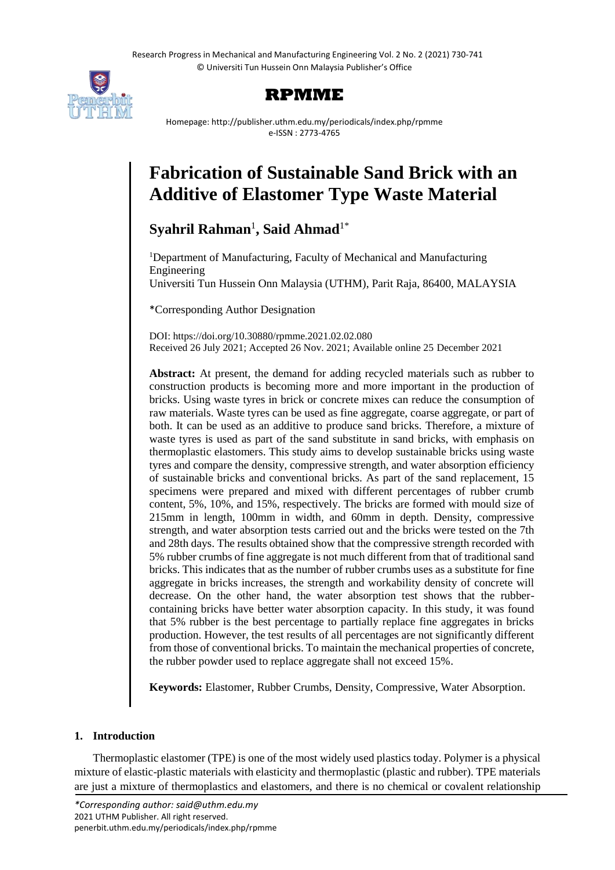Research Progress in Mechanical and Manufacturing Engineering Vol. 2 No. 2 (2021) 730-741 © Universiti Tun Hussein Onn Malaysia Publisher's Office



# **RPMME**

Homepage: http://publisher.uthm.edu.my/periodicals/index.php/rpmme e-ISSN : 2773-4765

# **Fabrication of Sustainable Sand Brick with an Additive of Elastomer Type Waste Material**

# $\mathbf{Syahril}$   $\mathbf{Rahman}^{1},$   $\mathbf{Said}$   $\mathbf{Ahmad}^{1*}$

<sup>1</sup>Department of Manufacturing, Faculty of Mechanical and Manufacturing Engineering Universiti Tun Hussein Onn Malaysia (UTHM), Parit Raja, 86400, MALAYSIA

\*Corresponding Author Designation

DOI: https://doi.org/10.30880/rpmme.2021.02.02.080 Received 26 July 2021; Accepted 26 Nov. 2021; Available online 25 December 2021

**Abstract:** At present, the demand for adding recycled materials such as rubber to construction products is becoming more and more important in the production of bricks. Using waste tyres in brick or concrete mixes can reduce the consumption of raw materials. Waste tyres can be used as fine aggregate, coarse aggregate, or part of both. It can be used as an additive to produce sand bricks. Therefore, a mixture of waste tyres is used as part of the sand substitute in sand bricks, with emphasis on thermoplastic elastomers. This study aims to develop sustainable bricks using waste tyres and compare the density, compressive strength, and water absorption efficiency of sustainable bricks and conventional bricks. As part of the sand replacement, 15 specimens were prepared and mixed with different percentages of rubber crumb content, 5%, 10%, and 15%, respectively. The bricks are formed with mould size of 215mm in length, 100mm in width, and 60mm in depth. Density, compressive strength, and water absorption tests carried out and the bricks were tested on the 7th and 28th days. The results obtained show that the compressive strength recorded with 5% rubber crumbs of fine aggregate is not much different from that of traditional sand bricks. This indicates that as the number of rubber crumbs uses as a substitute for fine aggregate in bricks increases, the strength and workability density of concrete will decrease. On the other hand, the water absorption test shows that the rubbercontaining bricks have better water absorption capacity. In this study, it was found that 5% rubber is the best percentage to partially replace fine aggregates in bricks production. However, the test results of all percentages are not significantly different from those of conventional bricks. To maintain the mechanical properties of concrete, the rubber powder used to replace aggregate shall not exceed 15%.

**Keywords:** Elastomer, Rubber Crumbs, Density, Compressive, Water Absorption.

# **1. Introduction**

Thermoplastic elastomer (TPE) is one of the most widely used plastics today. Polymer is a physical mixture of elastic-plastic materials with elasticity and thermoplastic (plastic and rubber). TPE materials are just a mixture of thermoplastics and elastomers, and there is no chemical or covalent relationship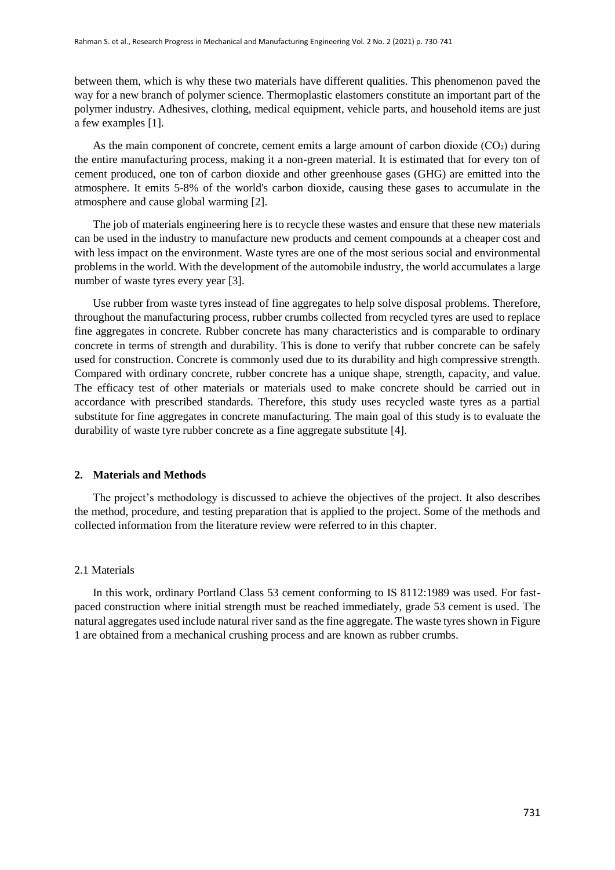between them, which is why these two materials have different qualities. This phenomenon paved the way for a new branch of polymer science. Thermoplastic elastomers constitute an important part of the polymer industry. Adhesives, clothing, medical equipment, vehicle parts, and household items are just a few examples [1].

As the main component of concrete, cement emits a large amount of carbon dioxide (CO2) during the entire manufacturing process, making it a non-green material. It is estimated that for every ton of cement produced, one ton of carbon dioxide and other greenhouse gases (GHG) are emitted into the atmosphere. It emits 5-8% of the world's carbon dioxide, causing these gases to accumulate in the atmosphere and cause global warming [2].

The job of materials engineering here is to recycle these wastes and ensure that these new materials can be used in the industry to manufacture new products and cement compounds at a cheaper cost and with less impact on the environment. Waste tyres are one of the most serious social and environmental problems in the world. With the development of the automobile industry, the world accumulates a large number of waste tyres every year [3].

Use rubber from waste tyres instead of fine aggregates to help solve disposal problems. Therefore, throughout the manufacturing process, rubber crumbs collected from recycled tyres are used to replace fine aggregates in concrete. Rubber concrete has many characteristics and is comparable to ordinary concrete in terms of strength and durability. This is done to verify that rubber concrete can be safely used for construction. Concrete is commonly used due to its durability and high compressive strength. Compared with ordinary concrete, rubber concrete has a unique shape, strength, capacity, and value. The efficacy test of other materials or materials used to make concrete should be carried out in accordance with prescribed standards. Therefore, this study uses recycled waste tyres as a partial substitute for fine aggregates in concrete manufacturing. The main goal of this study is to evaluate the durability of waste tyre rubber concrete as a fine aggregate substitute [4].

#### **2. Materials and Methods**

The project's methodology is discussed to achieve the objectives of the project. It also describes the method, procedure, and testing preparation that is applied to the project. Some of the methods and collected information from the literature review were referred to in this chapter.

#### 2.1 Materials

In this work, ordinary Portland Class 53 cement conforming to IS 8112:1989 was used. For fastpaced construction where initial strength must be reached immediately, grade 53 cement is used. The natural aggregates used include natural river sand as the fine aggregate. The waste tyres shown in Figure 1 are obtained from a mechanical crushing process and are known as rubber crumbs.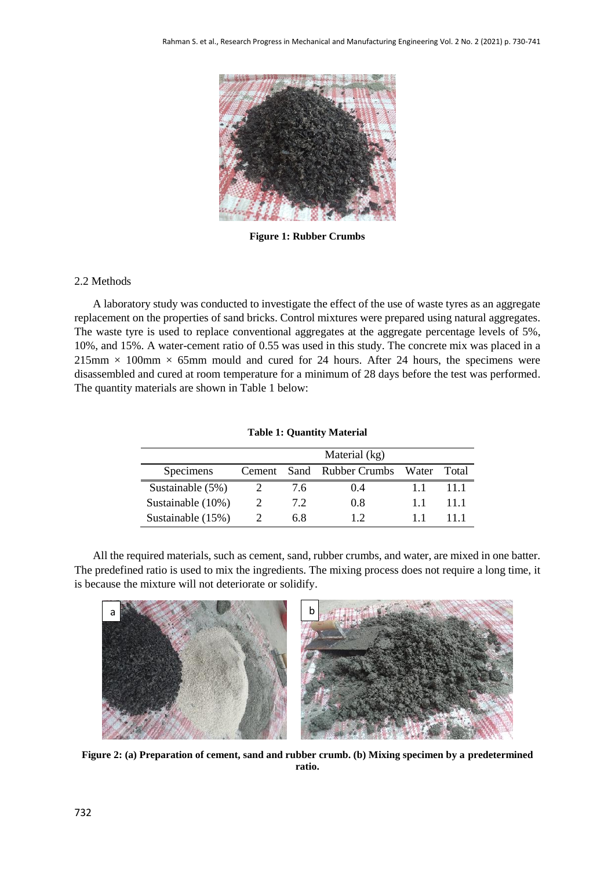

**Figure 1: Rubber Crumbs**

# 2.2 Methods

A laboratory study was conducted to investigate the effect of the use of waste tyres as an aggregate replacement on the properties of sand bricks. Control mixtures were prepared using natural aggregates. The waste tyre is used to replace conventional aggregates at the aggregate percentage levels of 5%, 10%, and 15%. A water-cement ratio of 0.55 was used in this study. The concrete mix was placed in a  $215\text{mm} \times 100\text{mm} \times 65\text{mm}$  mould and cured for 24 hours. After 24 hours, the specimens were disassembled and cured at room temperature for a minimum of 28 days before the test was performed. The quantity materials are shown in Table 1 below:

|                      | Material (kg) |     |                                       |  |      |
|----------------------|---------------|-----|---------------------------------------|--|------|
| <b>Specimens</b>     |               |     | Cement Sand Rubber Crumbs Water Total |  |      |
| Sustainable $(5%)$   |               | 7.6 | 04                                    |  | 11.1 |
| Sustainable $(10\%)$ |               | 7.2 | 0.8                                   |  | 11.1 |
| Sustainable $(15%)$  |               | 6.8 |                                       |  | 11   |

**Table 1: Quantity Material**

All the required materials, such as cement, sand, rubber crumbs, and water, are mixed in one batter. The predefined ratio is used to mix the ingredients. The mixing process does not require a long time, it is because the mixture will not deteriorate or solidify.



**Figure 2: (a) Preparation of cement, sand and rubber crumb. (b) Mixing specimen by a predetermined ratio.**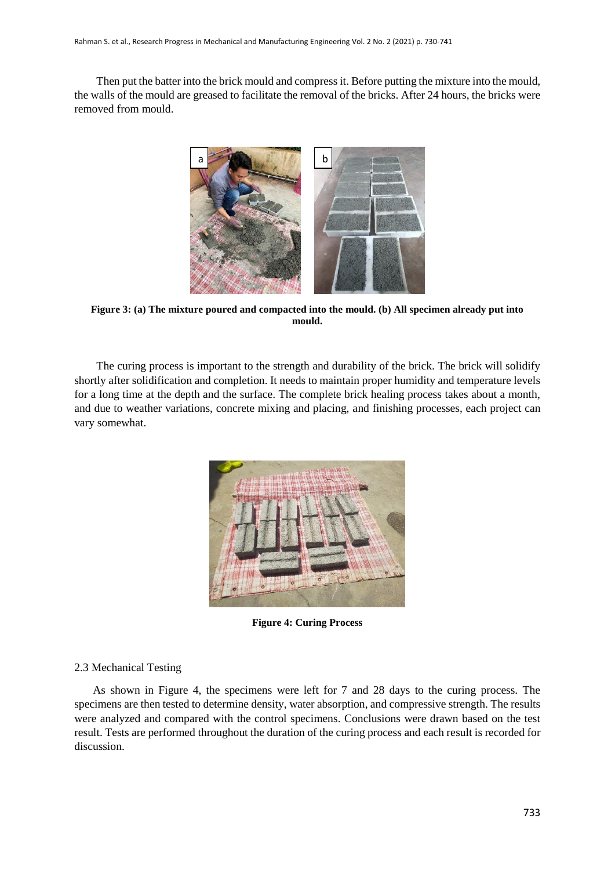Then put the batter into the brick mould and compress it. Before putting the mixture into the mould, the walls of the mould are greased to facilitate the removal of the bricks. After 24 hours, the bricks were removed from mould.



**Figure 3: (a) The mixture poured and compacted into the mould. (b) All specimen already put into mould.**

The curing process is important to the strength and durability of the brick. The brick will solidify shortly after solidification and completion. It needs to maintain proper humidity and temperature levels for a long time at the depth and the surface. The complete brick healing process takes about a month, and due to weather variations, concrete mixing and placing, and finishing processes, each project can vary somewhat.



**Figure 4: Curing Process**

# 2.3 Mechanical Testing

As shown in Figure 4, the specimens were left for 7 and 28 days to the curing process. The specimens are then tested to determine density, water absorption, and compressive strength. The results were analyzed and compared with the control specimens. Conclusions were drawn based on the test result. Tests are performed throughout the duration of the curing process and each result is recorded for discussion.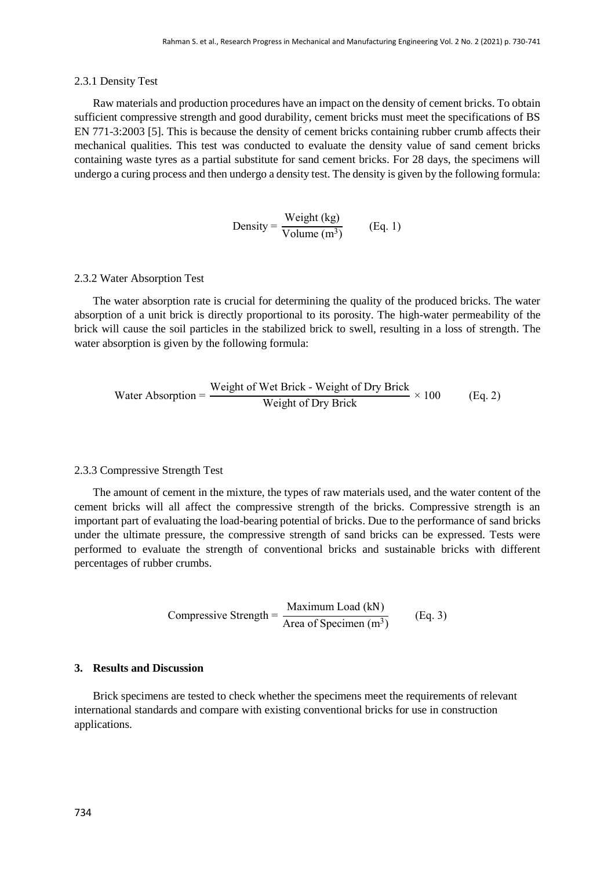#### 2.3.1 Density Test

Raw materials and production procedures have an impact on the density of cement bricks. To obtain sufficient compressive strength and good durability, cement bricks must meet the specifications of BS EN 771-3:2003 [5]. This is because the density of cement bricks containing rubber crumb affects their mechanical qualities. This test was conducted to evaluate the density value of sand cement bricks containing waste tyres as a partial substitute for sand cement bricks. For 28 days, the specimens will undergo a curing process and then undergo a density test. The density is given by the following formula:

Density = 
$$
\frac{\text{Weight (kg)}}{\text{Volume (m}^3)}
$$
 (Eq. 1)

#### 2.3.2 Water Absorption Test

The water absorption rate is crucial for determining the quality of the produced bricks. The water absorption of a unit brick is directly proportional to its porosity. The high-water permeability of the brick will cause the soil particles in the stabilized brick to swell, resulting in a loss of strength. The water absorption is given by the following formula:

Water Absorption = 
$$
\frac{\text{Weight of Wet Brick - Weight of Dry Brick}}{\text{Weight of Dry Brick}} \times 100
$$
 (Eq. 2)

## 2.3.3 Compressive Strength Test

The amount of cement in the mixture, the types of raw materials used, and the water content of the cement bricks will all affect the compressive strength of the bricks. Compressive strength is an important part of evaluating the load-bearing potential of bricks. Due to the performance of sand bricks under the ultimate pressure, the compressive strength of sand bricks can be expressed. Tests were performed to evaluate the strength of conventional bricks and sustainable bricks with different percentages of rubber crumbs.

Compressive Strength = 
$$
\frac{\text{Maximum Load (kN)}}{\text{Area of Specimen (m3)}}\qquad\text{(Eq. 3)}
$$

# **3. Results and Discussion**

Brick specimens are tested to check whether the specimens meet the requirements of relevant international standards and compare with existing conventional bricks for use in construction applications.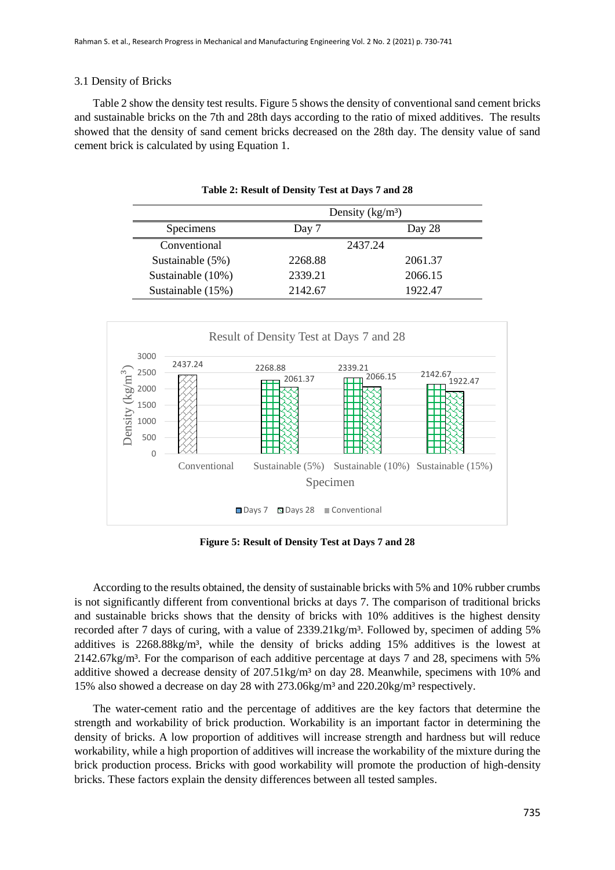# 3.1 Density of Bricks

Table 2 show the density test results. Figure 5 shows the density of conventional sand cement bricks and sustainable bricks on the 7th and 28th days according to the ratio of mixed additives. The results showed that the density of sand cement bricks decreased on the 28th day. The density value of sand cement brick is calculated by using Equation 1.

|                   | Density $(kg/m3)$ |         |  |
|-------------------|-------------------|---------|--|
| Specimens         | Day 7             | Day 28  |  |
| Conventional      |                   | 2437.24 |  |
| Sustainable (5%)  | 2268.88           | 2061.37 |  |
| Sustainable (10%) | 2339.21           | 2066.15 |  |
| Sustainable (15%) | 2142.67           | 1922.47 |  |

**Table 2: Result of Density Test at Days 7 and 28**



**Figure 5: Result of Density Test at Days 7 and 28**

According to the results obtained, the density of sustainable bricks with 5% and 10% rubber crumbs is not significantly different from conventional bricks at days 7. The comparison of traditional bricks and sustainable bricks shows that the density of bricks with 10% additives is the highest density recorded after 7 days of curing, with a value of 2339.21kg/m<sup>3</sup>. Followed by, specimen of adding 5% additives is 2268.88kg/m³, while the density of bricks adding 15% additives is the lowest at 2142.67kg/m³. For the comparison of each additive percentage at days 7 and 28, specimens with 5% additive showed a decrease density of  $207.51 \text{kg/m}^3$  on day 28. Meanwhile, specimens with 10% and 15% also showed a decrease on day 28 with 273.06kg/m³ and 220.20kg/m³ respectively.

The water-cement ratio and the percentage of additives are the key factors that determine the strength and workability of brick production. Workability is an important factor in determining the density of bricks. A low proportion of additives will increase strength and hardness but will reduce workability, while a high proportion of additives will increase the workability of the mixture during the brick production process. Bricks with good workability will promote the production of high-density bricks. These factors explain the density differences between all tested samples.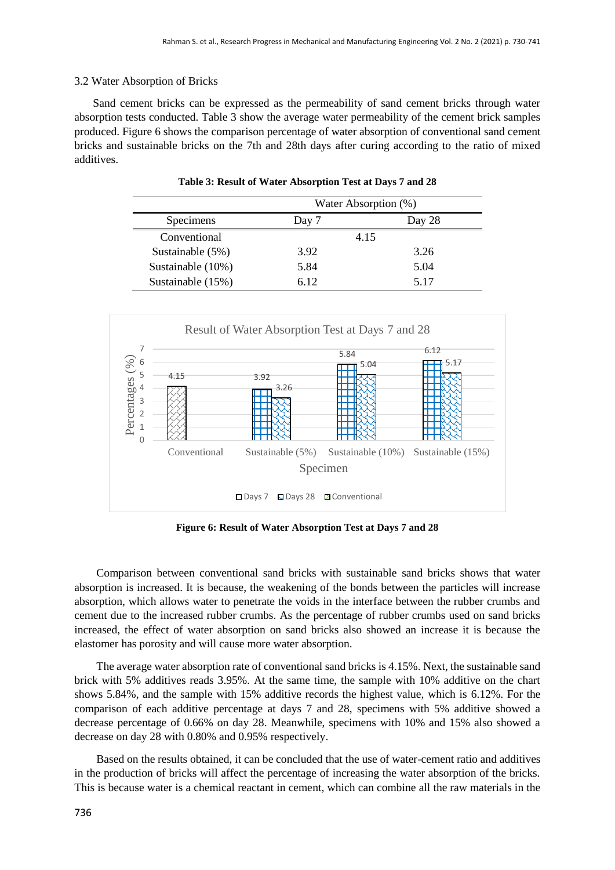# 3.2 Water Absorption of Bricks

Sand cement bricks can be expressed as the permeability of sand cement bricks through water absorption tests conducted. Table 3 show the average water permeability of the cement brick samples produced. Figure 6 shows the comparison percentage of water absorption of conventional sand cement bricks and sustainable bricks on the 7th and 28th days after curing according to the ratio of mixed additives.

|                    | Water Absorption (%) |        |  |
|--------------------|----------------------|--------|--|
| Specimens          | Day 7                | Day 28 |  |
| Conventional       |                      | 4.15   |  |
| Sustainable $(5%)$ | 3.92                 | 3.26   |  |
| Sustainable (10%)  | 5.84                 | 5.04   |  |
| Sustainable (15%)  | 6.12                 | 5 1 7  |  |

**Table 3: Result of Water Absorption Test at Days 7 and 28**



**Figure 6: Result of Water Absorption Test at Days 7 and 28**

Comparison between conventional sand bricks with sustainable sand bricks shows that water absorption is increased. It is because, the weakening of the bonds between the particles will increase absorption, which allows water to penetrate the voids in the interface between the rubber crumbs and cement due to the increased rubber crumbs. As the percentage of rubber crumbs used on sand bricks increased, the effect of water absorption on sand bricks also showed an increase it is because the elastomer has porosity and will cause more water absorption.

The average water absorption rate of conventional sand bricks is 4.15%. Next, the sustainable sand brick with 5% additives reads 3.95%. At the same time, the sample with 10% additive on the chart shows 5.84%, and the sample with 15% additive records the highest value, which is 6.12%. For the comparison of each additive percentage at days 7 and 28, specimens with 5% additive showed a decrease percentage of 0.66% on day 28. Meanwhile, specimens with 10% and 15% also showed a decrease on day 28 with 0.80% and 0.95% respectively.

Based on the results obtained, it can be concluded that the use of water-cement ratio and additives in the production of bricks will affect the percentage of increasing the water absorption of the bricks. This is because water is a chemical reactant in cement, which can combine all the raw materials in the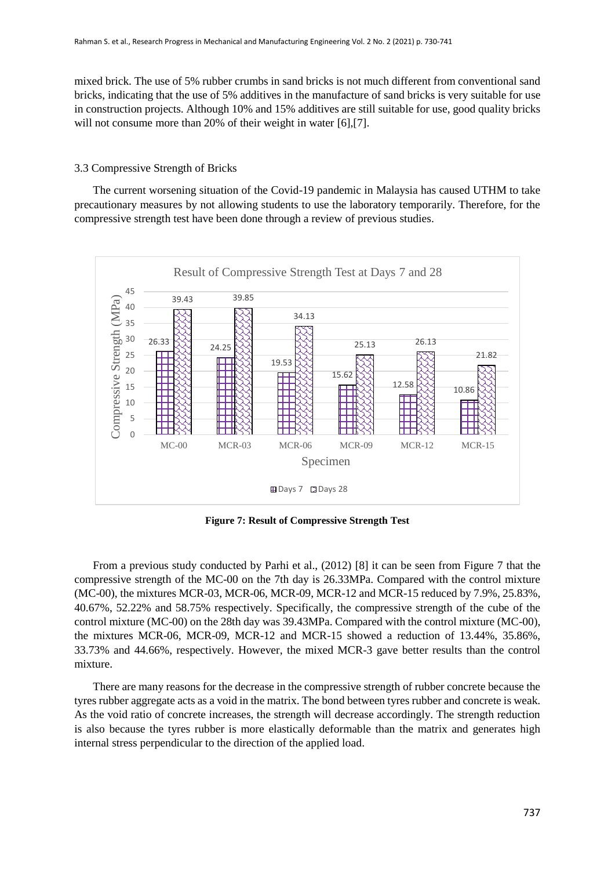mixed brick. The use of 5% rubber crumbs in sand bricks is not much different from conventional sand bricks, indicating that the use of 5% additives in the manufacture of sand bricks is very suitable for use in construction projects. Although 10% and 15% additives are still suitable for use, good quality bricks will not consume more than 20% of their weight in water [6],[7].

# 3.3 Compressive Strength of Bricks

The current worsening situation of the Covid-19 pandemic in Malaysia has caused UTHM to take precautionary measures by not allowing students to use the laboratory temporarily. Therefore, for the compressive strength test have been done through a review of previous studies.



**Figure 7: Result of Compressive Strength Test**

From a previous study conducted by Parhi et al., (2012) [8] it can be seen from Figure 7 that the compressive strength of the MC-00 on the 7th day is 26.33MPa. Compared with the control mixture (MC-00), the mixtures MCR-03, MCR-06, MCR-09, MCR-12 and MCR-15 reduced by 7.9%, 25.83%, 40.67%, 52.22% and 58.75% respectively. Specifically, the compressive strength of the cube of the control mixture (MC-00) on the 28th day was 39.43MPa. Compared with the control mixture (MC-00), the mixtures MCR-06, MCR-09, MCR-12 and MCR-15 showed a reduction of 13.44%, 35.86%, 33.73% and 44.66%, respectively. However, the mixed MCR-3 gave better results than the control mixture.

There are many reasons for the decrease in the compressive strength of rubber concrete because the tyres rubber aggregate acts as a void in the matrix. The bond between tyres rubber and concrete is weak. As the void ratio of concrete increases, the strength will decrease accordingly. The strength reduction is also because the tyres rubber is more elastically deformable than the matrix and generates high internal stress perpendicular to the direction of the applied load.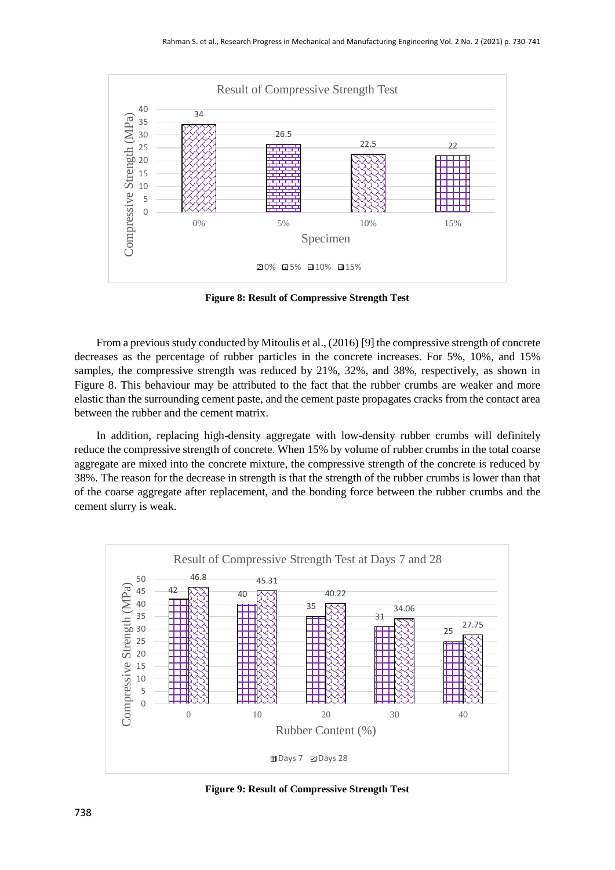

**Figure 8: Result of Compressive Strength Test**

From a previous study conducted by Mitoulis et al., (2016) [9] the compressive strength of concrete decreases as the percentage of rubber particles in the concrete increases. For 5%, 10%, and 15% samples, the compressive strength was reduced by 21%, 32%, and 38%, respectively, as shown in Figure 8. This behaviour may be attributed to the fact that the rubber crumbs are weaker and more elastic than the surrounding cement paste, and the cement paste propagates cracks from the contact area between the rubber and the cement matrix.

In addition, replacing high-density aggregate with low-density rubber crumbs will definitely reduce the compressive strength of concrete. When 15% by volume of rubber crumbs in the total coarse aggregate are mixed into the concrete mixture, the compressive strength of the concrete is reduced by 38%. The reason for the decrease in strength is that the strength of the rubber crumbs is lower than that of the coarse aggregate after replacement, and the bonding force between the rubber crumbs and the cement slurry is weak.



**Figure 9: Result of Compressive Strength Test**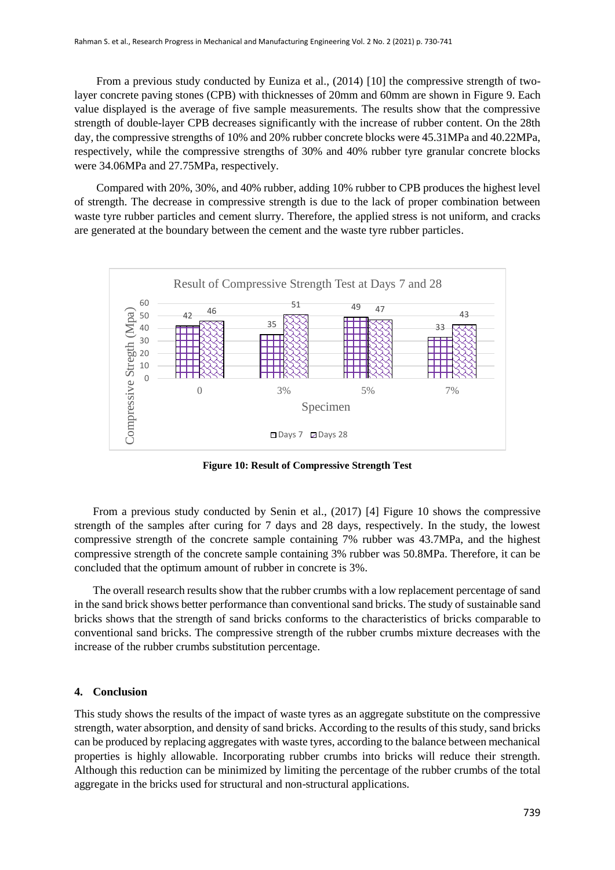From a previous study conducted by Euniza et al., (2014) [10] the compressive strength of twolayer concrete paving stones (CPB) with thicknesses of 20mm and 60mm are shown in Figure 9. Each value displayed is the average of five sample measurements. The results show that the compressive strength of double-layer CPB decreases significantly with the increase of rubber content. On the 28th day, the compressive strengths of 10% and 20% rubber concrete blocks were 45.31MPa and 40.22MPa, respectively, while the compressive strengths of 30% and 40% rubber tyre granular concrete blocks were 34.06MPa and 27.75MPa, respectively.

Compared with 20%, 30%, and 40% rubber, adding 10% rubber to CPB produces the highest level of strength. The decrease in compressive strength is due to the lack of proper combination between waste tyre rubber particles and cement slurry. Therefore, the applied stress is not uniform, and cracks are generated at the boundary between the cement and the waste tyre rubber particles.



**Figure 10: Result of Compressive Strength Test**

From a previous study conducted by Senin et al., (2017) [4] Figure 10 shows the compressive strength of the samples after curing for 7 days and 28 days, respectively. In the study, the lowest compressive strength of the concrete sample containing 7% rubber was 43.7MPa, and the highest compressive strength of the concrete sample containing 3% rubber was 50.8MPa. Therefore, it can be concluded that the optimum amount of rubber in concrete is 3%.

The overall research results show that the rubber crumbs with a low replacement percentage of sand in the sand brick shows better performance than conventional sand bricks. The study of sustainable sand bricks shows that the strength of sand bricks conforms to the characteristics of bricks comparable to conventional sand bricks. The compressive strength of the rubber crumbs mixture decreases with the increase of the rubber crumbs substitution percentage.

#### **4. Conclusion**

This study shows the results of the impact of waste tyres as an aggregate substitute on the compressive strength, water absorption, and density of sand bricks. According to the results of this study, sand bricks can be produced by replacing aggregates with waste tyres, according to the balance between mechanical properties is highly allowable. Incorporating rubber crumbs into bricks will reduce their strength. Although this reduction can be minimized by limiting the percentage of the rubber crumbs of the total aggregate in the bricks used for structural and non-structural applications.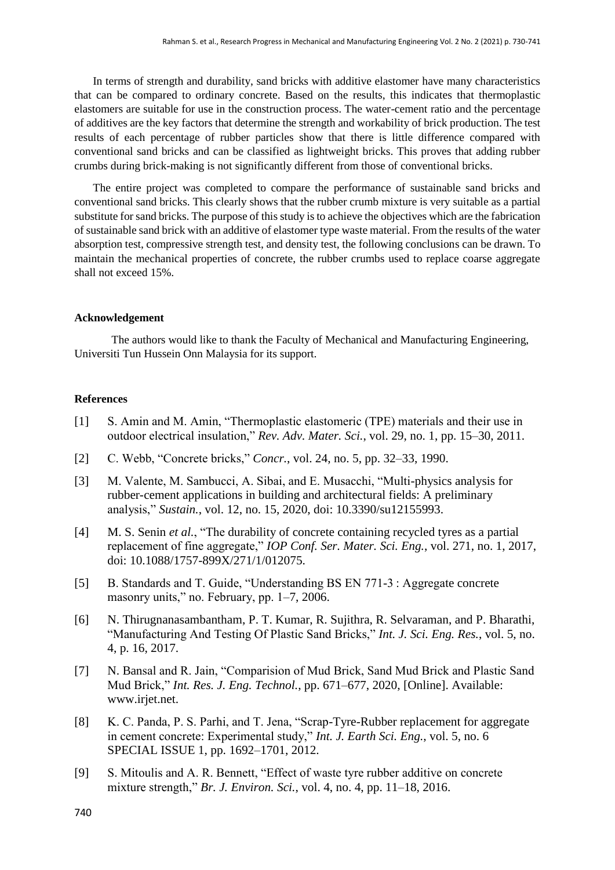In terms of strength and durability, sand bricks with additive elastomer have many characteristics that can be compared to ordinary concrete. Based on the results, this indicates that thermoplastic elastomers are suitable for use in the construction process. The water-cement ratio and the percentage of additives are the key factors that determine the strength and workability of brick production. The test results of each percentage of rubber particles show that there is little difference compared with conventional sand bricks and can be classified as lightweight bricks. This proves that adding rubber crumbs during brick-making is not significantly different from those of conventional bricks.

The entire project was completed to compare the performance of sustainable sand bricks and conventional sand bricks. This clearly shows that the rubber crumb mixture is very suitable as a partial substitute for sand bricks. The purpose of this study is to achieve the objectives which are the fabrication of sustainable sand brick with an additive of elastomer type waste material. From the results of the water absorption test, compressive strength test, and density test, the following conclusions can be drawn. To maintain the mechanical properties of concrete, the rubber crumbs used to replace coarse aggregate shall not exceed 15%.

## **Acknowledgement**

The authors would like to thank the Faculty of Mechanical and Manufacturing Engineering, Universiti Tun Hussein Onn Malaysia for its support.

#### **References**

- [1] S. Amin and M. Amin, "Thermoplastic elastomeric (TPE) materials and their use in outdoor electrical insulation," *Rev. Adv. Mater. Sci.*, vol. 29, no. 1, pp. 15–30, 2011.
- [2] C. Webb, "Concrete bricks," *Concr.*, vol. 24, no. 5, pp. 32–33, 1990.
- [3] M. Valente, M. Sambucci, A. Sibai, and E. Musacchi, "Multi-physics analysis for rubber-cement applications in building and architectural fields: A preliminary analysis," *Sustain.*, vol. 12, no. 15, 2020, doi: 10.3390/su12155993.
- [4] M. S. Senin *et al.*, "The durability of concrete containing recycled tyres as a partial replacement of fine aggregate," *IOP Conf. Ser. Mater. Sci. Eng.*, vol. 271, no. 1, 2017, doi: 10.1088/1757-899X/271/1/012075.
- [5] B. Standards and T. Guide, "Understanding BS EN 771-3 : Aggregate concrete masonry units," no. February, pp. 1–7, 2006.
- [6] N. Thirugnanasambantham, P. T. Kumar, R. Sujithra, R. Selvaraman, and P. Bharathi, "Manufacturing And Testing Of Plastic Sand Bricks," *Int. J. Sci. Eng. Res.*, vol. 5, no. 4, p. 16, 2017.
- [7] N. Bansal and R. Jain, "Comparision of Mud Brick, Sand Mud Brick and Plastic Sand Mud Brick," *Int. Res. J. Eng. Technol.*, pp. 671–677, 2020, [Online]. Available: www.irjet.net.
- [8] K. C. Panda, P. S. Parhi, and T. Jena, "Scrap-Tyre-Rubber replacement for aggregate in cement concrete: Experimental study," *Int. J. Earth Sci. Eng.*, vol. 5, no. 6 SPECIAL ISSUE 1, pp. 1692–1701, 2012.
- [9] S. Mitoulis and A. R. Bennett, "Effect of waste tyre rubber additive on concrete mixture strength," *Br. J. Environ. Sci.*, vol. 4, no. 4, pp. 11–18, 2016.